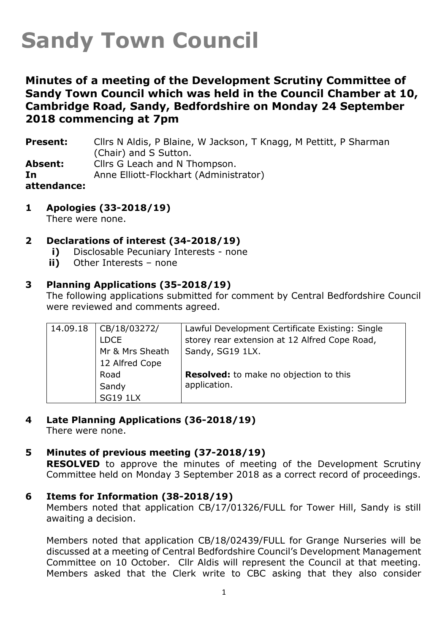# **Sandy Town Council**

### **Minutes of a meeting of the Development Scrutiny Committee of Sandy Town Council which was held in the Council Chamber at 10, Cambridge Road, Sandy, Bedfordshire on Monday 24 September 2018 commencing at 7pm**

**Present:** Cllrs N Aldis, P Blaine, W Jackson, T Knagg, M Pettitt, P Sharman (Chair) and S Sutton. **Absent:** Cllrs G Leach and N Thompson. **In attendance:** Anne Elliott-Flockhart (Administrator)

**1 Apologies (33-2018/19)**

There were none.

#### **2 Declarations of interest (34-2018/19)**

- **i)** Disclosable Pecuniary Interests none
- **ii)** Other Interests none

#### **3 Planning Applications (35-2018/19)**

The following applications submitted for comment by Central Bedfordshire Council were reviewed and comments agreed.

| 14.09.18 | CB/18/03272/    | Lawful Development Certificate Existing: Single |
|----------|-----------------|-------------------------------------------------|
|          | <b>LDCE</b>     | storey rear extension at 12 Alfred Cope Road,   |
|          | Mr & Mrs Sheath | Sandy, SG19 1LX.                                |
|          | 12 Alfred Cope  |                                                 |
|          | Road            | <b>Resolved:</b> to make no objection to this   |
|          | Sandy           | application.                                    |
|          | <b>SG19 1LX</b> |                                                 |

- **4 Late Planning Applications (36-2018/19)** There were none.
- **5 Minutes of previous meeting (37-2018/19) RESOLVED** to approve the minutes of meeting of the Development Scrutiny Committee held on Monday 3 September 2018 as a correct record of proceedings.
- **6 Items for Information (38-2018/19)**

Members noted that application CB/17/01326/FULL for Tower Hill, Sandy is still awaiting a decision.

Members noted that application CB/18/02439/FULL for Grange Nurseries will be discussed at a meeting of Central Bedfordshire Council's Development Management Committee on 10 October. Cllr Aldis will represent the Council at that meeting. Members asked that the Clerk write to CBC asking that they also consider